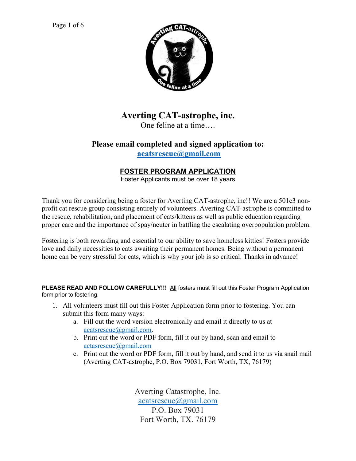

# **Averting CAT-astrophe, inc.**

One feline at a time….

## **Please email completed and signed application to: acatsrescue@gmail.com**

## **FOSTER PROGRAM APPLICATION**

Foster Applicants must be over 18 years

Thank you for considering being a foster for Averting CAT-astrophe, inc!! We are a 501c3 nonprofit cat rescue group consisting entirely of volunteers. Averting CAT-astrophe is committed to the rescue, rehabilitation, and placement of cats/kittens as well as public education regarding proper care and the importance of spay/neuter in battling the escalating overpopulation problem.

Fostering is both rewarding and essential to our ability to save homeless kitties! Fosters provide love and daily necessities to cats awaiting their permanent homes. Being without a permanent home can be very stressful for cats, which is why your job is so critical. Thanks in advance!

**PLEASE READ AND FOLLOW CAREFULLY!!!** All fosters must fill out this Foster Program Application form prior to fostering.

- 1. All volunteers must fill out this Foster Application form prior to fostering. You can submit this form many ways:
	- a. Fill out the word version electronically and email it directly to us at acatsrescue@gmail.com.
	- b. Print out the word or PDF form, fill it out by hand, scan and email to actasrescue@gmail.com
	- c. Print out the word or PDF form, fill it out by hand, and send it to us via snail mail (Averting CAT-astrophe, P.O. Box 79031, Fort Worth, TX, 76179)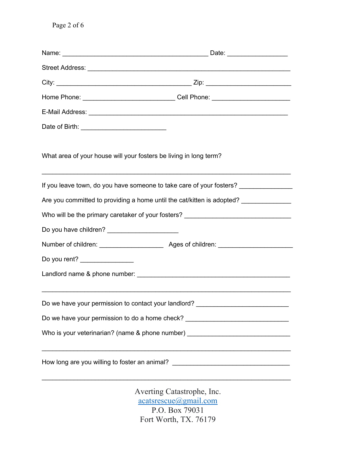|                                                                                  | Street Address: <u>Alexander Address:</u> Alexander Address: Alexander Address: Alexander Address: Alexander Address: A |  |
|----------------------------------------------------------------------------------|-------------------------------------------------------------------------------------------------------------------------|--|
|                                                                                  |                                                                                                                         |  |
|                                                                                  | Home Phone: __________________________________Cell Phone: ______________________                                        |  |
|                                                                                  |                                                                                                                         |  |
|                                                                                  |                                                                                                                         |  |
| What area of your house will your fosters be living in long term?                |                                                                                                                         |  |
|                                                                                  | If you leave town, do you have someone to take care of your fosters? ____________                                       |  |
|                                                                                  | Are you committed to providing a home until the cat/kitten is adopted? ______________                                   |  |
| Who will be the primary caretaker of your fosters? _____________________________ |                                                                                                                         |  |
|                                                                                  |                                                                                                                         |  |
|                                                                                  |                                                                                                                         |  |
| Do you rent? _______________                                                     |                                                                                                                         |  |
|                                                                                  |                                                                                                                         |  |
|                                                                                  | Do we have your permission to contact your landlord? ___________________________                                        |  |
| Do we have your permission to do a home check? _________________________________ |                                                                                                                         |  |
|                                                                                  | Who is your veterinarian? (name & phone number) ________________________________                                        |  |
|                                                                                  | How long are you willing to foster an animal? __________________________________                                        |  |
|                                                                                  | Averting Catastrophe, Inc.<br>$\arcts$ rescue $\omega$ gmail.com                                                        |  |

P.O. Box 79031 Fort Worth, TX. 76179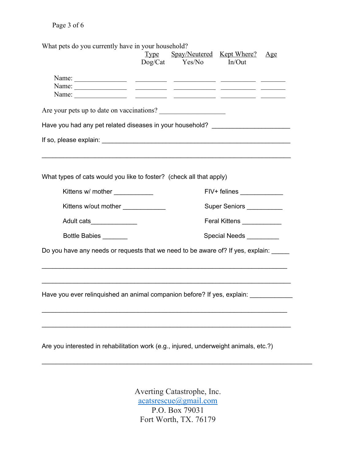## Page 3 of 6

What pets do you currently have in your household?

|                                                                                                                                                                                                                                                                                                                                                                                                                                                                                                                                                                                                                                                                                                                                                                                                                                | Dog/Cat | Type Spay/Neutered Kept Where?<br>Yes/No | In/Out                     | Age |  |  |                                                                     |  |  |  |  |
|--------------------------------------------------------------------------------------------------------------------------------------------------------------------------------------------------------------------------------------------------------------------------------------------------------------------------------------------------------------------------------------------------------------------------------------------------------------------------------------------------------------------------------------------------------------------------------------------------------------------------------------------------------------------------------------------------------------------------------------------------------------------------------------------------------------------------------|---------|------------------------------------------|----------------------------|-----|--|--|---------------------------------------------------------------------|--|--|--|--|
| Name: $\frac{1}{\sqrt{1-\frac{1}{2}}\sqrt{1-\frac{1}{2}}\sqrt{1-\frac{1}{2}}\sqrt{1-\frac{1}{2}}\sqrt{1-\frac{1}{2}}\sqrt{1-\frac{1}{2}}\sqrt{1-\frac{1}{2}}\sqrt{1-\frac{1}{2}}\sqrt{1-\frac{1}{2}}\sqrt{1-\frac{1}{2}}\sqrt{1-\frac{1}{2}}\sqrt{1-\frac{1}{2}}\sqrt{1-\frac{1}{2}}\sqrt{1-\frac{1}{2}}\sqrt{1-\frac{1}{2}}\sqrt{1-\frac{1}{2}}\sqrt{1-\frac{1}{2}}\sqrt{1-\frac{1}{2}}\sqrt{1-\frac{1}{2}}$<br>Name: $\frac{1}{\sqrt{1-\frac{1}{2}}\sqrt{1-\frac{1}{2}}\sqrt{1-\frac{1}{2}}\sqrt{1-\frac{1}{2}}\sqrt{1-\frac{1}{2}}\sqrt{1-\frac{1}{2}}\sqrt{1-\frac{1}{2}}\sqrt{1-\frac{1}{2}}\sqrt{1-\frac{1}{2}}\sqrt{1-\frac{1}{2}}\sqrt{1-\frac{1}{2}}\sqrt{1-\frac{1}{2}}\sqrt{1-\frac{1}{2}}\sqrt{1-\frac{1}{2}}\sqrt{1-\frac{1}{2}}\sqrt{1-\frac{1}{2}}\sqrt{1-\frac{1}{2}}\sqrt{1-\frac{1}{2}}\sqrt{1-\frac{1}{2}}$ |         |                                          |                            |     |  |  |                                                                     |  |  |  |  |
| Are your pets up to date on vaccinations?<br>Have you had any pet related diseases in your household? _______________________                                                                                                                                                                                                                                                                                                                                                                                                                                                                                                                                                                                                                                                                                                  |         |                                          |                            |     |  |  |                                                                     |  |  |  |  |
|                                                                                                                                                                                                                                                                                                                                                                                                                                                                                                                                                                                                                                                                                                                                                                                                                                |         |                                          |                            |     |  |  |                                                                     |  |  |  |  |
|                                                                                                                                                                                                                                                                                                                                                                                                                                                                                                                                                                                                                                                                                                                                                                                                                                |         |                                          |                            |     |  |  | What types of cats would you like to foster? (check all that apply) |  |  |  |  |
| Kittens w/ mother ___________                                                                                                                                                                                                                                                                                                                                                                                                                                                                                                                                                                                                                                                                                                                                                                                                  |         |                                          | FIV+ felines _____________ |     |  |  |                                                                     |  |  |  |  |
| Kittens w/out mother _____________                                                                                                                                                                                                                                                                                                                                                                                                                                                                                                                                                                                                                                                                                                                                                                                             |         | Super Seniors __________                 |                            |     |  |  |                                                                     |  |  |  |  |
| Adult cats_______________                                                                                                                                                                                                                                                                                                                                                                                                                                                                                                                                                                                                                                                                                                                                                                                                      |         | Feral Kittens ___________                |                            |     |  |  |                                                                     |  |  |  |  |
| Bottle Babies _______                                                                                                                                                                                                                                                                                                                                                                                                                                                                                                                                                                                                                                                                                                                                                                                                          |         | Special Needs _________                  |                            |     |  |  |                                                                     |  |  |  |  |
| Do you have any needs or requests that we need to be aware of? If yes, explain:                                                                                                                                                                                                                                                                                                                                                                                                                                                                                                                                                                                                                                                                                                                                                |         |                                          |                            |     |  |  |                                                                     |  |  |  |  |
|                                                                                                                                                                                                                                                                                                                                                                                                                                                                                                                                                                                                                                                                                                                                                                                                                                |         |                                          |                            |     |  |  |                                                                     |  |  |  |  |
|                                                                                                                                                                                                                                                                                                                                                                                                                                                                                                                                                                                                                                                                                                                                                                                                                                |         |                                          |                            |     |  |  |                                                                     |  |  |  |  |
| Have you ever relinquished an animal companion before? If yes, explain:                                                                                                                                                                                                                                                                                                                                                                                                                                                                                                                                                                                                                                                                                                                                                        |         |                                          |                            |     |  |  |                                                                     |  |  |  |  |
|                                                                                                                                                                                                                                                                                                                                                                                                                                                                                                                                                                                                                                                                                                                                                                                                                                |         |                                          |                            |     |  |  |                                                                     |  |  |  |  |
| Are you interested in rehabilitation work (e.g., injured, underweight animals, etc.?)                                                                                                                                                                                                                                                                                                                                                                                                                                                                                                                                                                                                                                                                                                                                          |         |                                          |                            |     |  |  |                                                                     |  |  |  |  |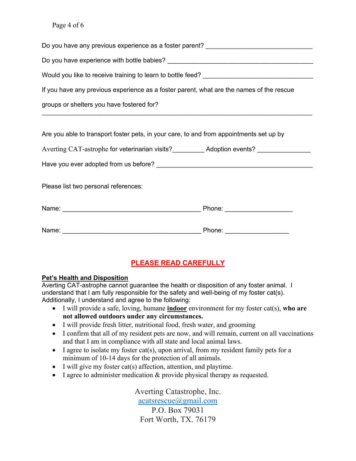#### Page 4 of 6

| Do you have any previous experience as a foster parent? ________________________                    |  |  |  |  |
|-----------------------------------------------------------------------------------------------------|--|--|--|--|
|                                                                                                     |  |  |  |  |
| Would you like to receive training to learn to bottle feed? ____________________                    |  |  |  |  |
| If you have any previous experience as a foster parent, what are the names of the rescue            |  |  |  |  |
| groups or shelters you have fostered for?                                                           |  |  |  |  |
| ,我们也不能在这里的时候,我们也不能在这里的时候,我们也不能不能不能不能不能不能不能不能不能不能不能不能不能。""我们的是我们的,我们也不能不能不能不能不能不能                    |  |  |  |  |
| Are you able to transport foster pets, in your care, to and from appointments set up by             |  |  |  |  |
| Averting CAT-astrophe for veterinarian visits?____________ Adoption events? _______________________ |  |  |  |  |
|                                                                                                     |  |  |  |  |
| Please list two personal references:                                                                |  |  |  |  |
|                                                                                                     |  |  |  |  |
|                                                                                                     |  |  |  |  |

## **PLEASE READ CAREFULLY**

#### **Pet's Health and Disposition**

Averting CAT-astrophe cannot guarantee the health or disposition of any foster animal. I understand that I am fully responsible for the safety and well-being of my foster cat(s). Additionally, I understand and agree to the following:

- I will provide a safe, loving, humane **indoor** environment for my foster cat(s), **who are not allowed outdoors under any circumstances.**
- I will provide fresh litter, nutritional food, fresh water, and grooming
- I confirm that all of my resident pets are now, and will remain, current on all vaccinations and that I am in compliance with all state and local animal laws.
- I agree to isolate my foster cat(s), upon arrival, from my resident family pets for a minimum of 10-14 days for the protection of all animals.
- I will give my foster cat(s) affection, attention, and playtime.
- I agree to administer medication & provide physical therapy as requested.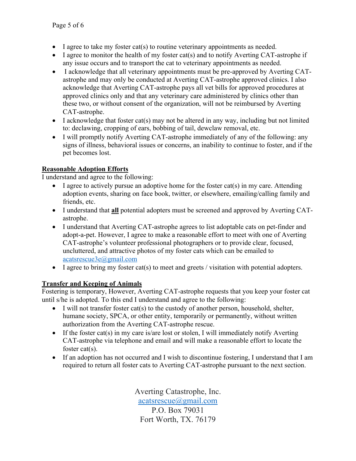- I agree to take my foster cat(s) to routine veterinary appointments as needed.
- I agree to monitor the health of my foster cat(s) and to notify Averting CAT-astrophe if any issue occurs and to transport the cat to veterinary appointments as needed.
- I acknowledge that all veterinary appointments must be pre-approved by Averting CATastrophe and may only be conducted at Averting CAT-astrophe approved clinics. I also acknowledge that Averting CAT-astrophe pays all vet bills for approved procedures at approved clinics only and that any veterinary care administered by clinics other than these two, or without consent of the organization, will not be reimbursed by Averting CAT-astrophe.
- I acknowledge that foster cat(s) may not be altered in any way, including but not limited to: declawing, cropping of ears, bobbing of tail, dewclaw removal, etc.
- I will promptly notify Averting CAT-astrophe immediately of any of the following: any signs of illness, behavioral issues or concerns, an inability to continue to foster, and if the pet becomes lost.

### **Reasonable Adoption Efforts**

I understand and agree to the following:

- I agree to actively pursue an adoptive home for the foster cat(s) in my care. Attending adoption events, sharing on face book, twitter, or elsewhere, emailing/calling family and friends, etc.
- I understand that **all** potential adopters must be screened and approved by Averting CATastrophe.
- I understand that Averting CAT-astrophe agrees to list adoptable cats on pet-finder and adopt-a-pet. However, I agree to make a reasonable effort to meet with one of Averting CAT-astrophe's volunteer professional photographers or to provide clear, focused, uncluttered, and attractive photos of my foster cats which can be emailed to acatsrescue3e@gmail.com
- I agree to bring my foster cat(s) to meet and greets / visitation with potential adopters.

### **Transfer and Keeping of Animals**

Fostering is temporary, However, Averting CAT-astrophe requests that you keep your foster cat until s/he is adopted. To this end I understand and agree to the following:

- I will not transfer foster cat(s) to the custody of another person, household, shelter, humane society, SPCA, or other entity, temporarily or permanently, without written authorization from the Averting CAT-astrophe rescue.
- If the foster cat(s) in my care is/are lost or stolen, I will immediately notify Averting CAT-astrophe via telephone and email and will make a reasonable effort to locate the foster cat(s).
- If an adoption has not occurred and I wish to discontinue fostering, I understand that I am required to return all foster cats to Averting CAT-astrophe pursuant to the next section.